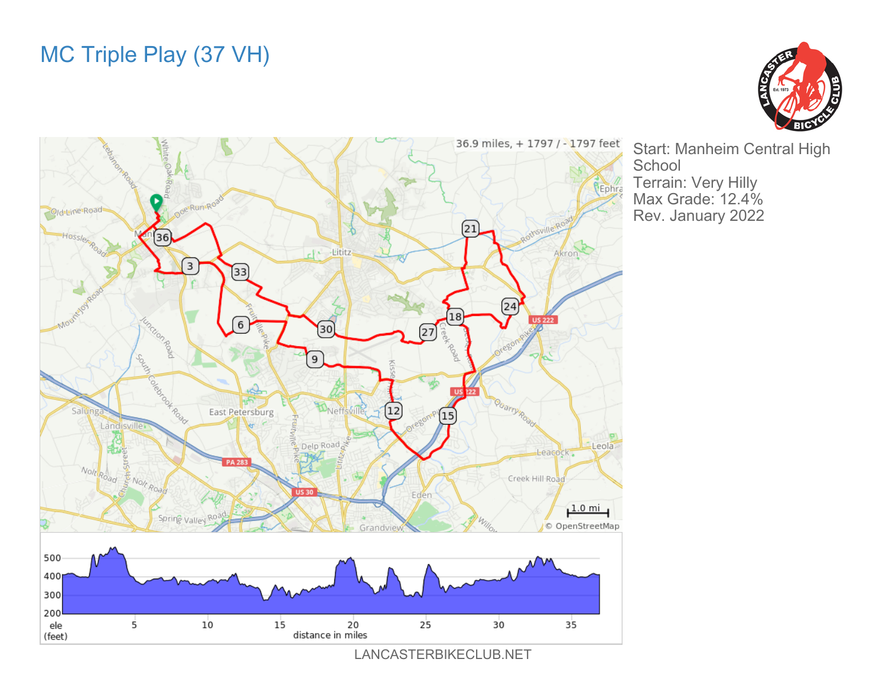## MC Triple Play (37 VH)





Start: Manheim Central High **School** Terrain: Very Hilly Max Grade: 12.4% Rev. January 2022

LANCASTERBIKECLUB.NET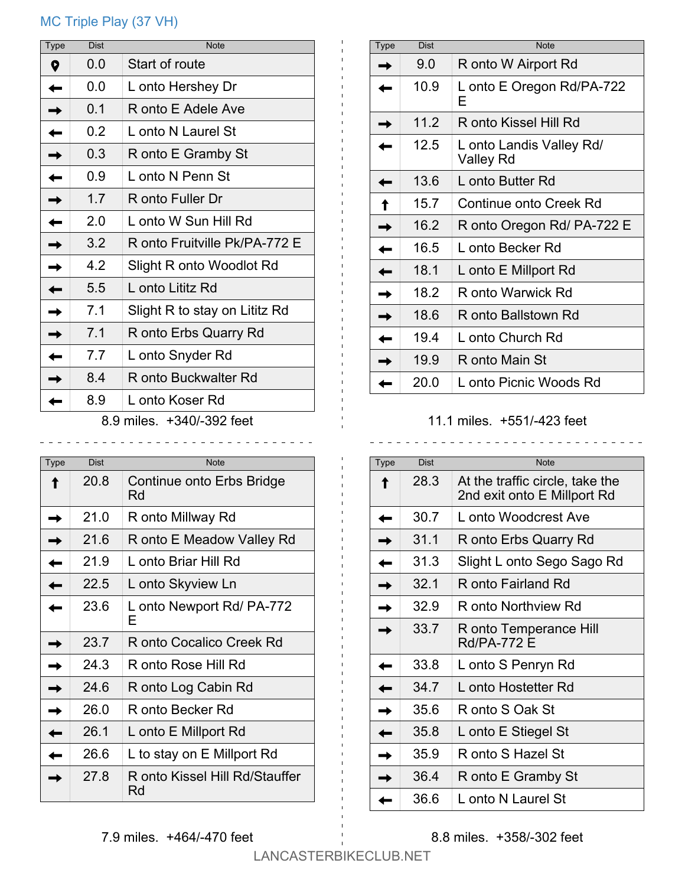## MC Triple Play (37 VH)

| Start of route<br>0.0<br>Q<br>0.0<br>L onto Hershey Dr<br>0.1<br>R onto E Adele Ave<br>0.2<br>L onto N Laurel St<br>0.3<br>R onto E Gramby St<br>0.9<br>L onto N Penn St<br>1.7<br>R onto Fuller Dr<br>2.0<br>L onto W Sun Hill Rd<br>3.2<br>R onto Fruitville Pk/PA-772 E<br>4.2<br>Slight R onto Woodlot Rd | <b>Type</b> | <b>Dist</b> | <b>Note</b>      |
|---------------------------------------------------------------------------------------------------------------------------------------------------------------------------------------------------------------------------------------------------------------------------------------------------------------|-------------|-------------|------------------|
|                                                                                                                                                                                                                                                                                                               |             |             |                  |
|                                                                                                                                                                                                                                                                                                               |             |             |                  |
|                                                                                                                                                                                                                                                                                                               |             |             |                  |
|                                                                                                                                                                                                                                                                                                               |             |             |                  |
|                                                                                                                                                                                                                                                                                                               |             |             |                  |
|                                                                                                                                                                                                                                                                                                               |             |             |                  |
|                                                                                                                                                                                                                                                                                                               |             |             |                  |
|                                                                                                                                                                                                                                                                                                               |             |             |                  |
|                                                                                                                                                                                                                                                                                                               |             |             |                  |
|                                                                                                                                                                                                                                                                                                               |             |             |                  |
|                                                                                                                                                                                                                                                                                                               |             | 5.5         | L onto Lititz Rd |
| 7.1<br>Slight R to stay on Lititz Rd                                                                                                                                                                                                                                                                          |             |             |                  |
| 7.1<br>R onto Erbs Quarry Rd                                                                                                                                                                                                                                                                                  |             |             |                  |
| 7.7<br>L onto Snyder Rd                                                                                                                                                                                                                                                                                       |             |             |                  |
| 8.4<br>R onto Buckwalter Rd                                                                                                                                                                                                                                                                                   |             |             |                  |
| 8.9<br>L onto Koser Rd                                                                                                                                                                                                                                                                                        |             |             |                  |

8.9 miles. +340/-392 feet 

| Type | <b>Dist</b> | <b>Note</b>                          |
|------|-------------|--------------------------------------|
|      | 20.8        | Continue onto Erbs Bridge<br>Rd      |
|      | 21.0        | R onto Millway Rd                    |
|      | 21.6        | R onto E Meadow Valley Rd            |
|      | 21.9        | L onto Briar Hill Rd                 |
|      | 22.5        | L onto Skyview Ln                    |
|      | 23.6        | L onto Newport Rd/ PA-772<br>F       |
|      | 23.7        | R onto Cocalico Creek Rd             |
|      | 24.3        | R onto Rose Hill Rd                  |
|      | 24.6        | R onto Log Cabin Rd                  |
|      | 26.0        | R onto Becker Rd                     |
|      | 26.1        | L onto E Millport Rd                 |
|      | 26.6        | L to stay on E Millport Rd           |
|      | 27.8        | R onto Kissel Hill Rd/Stauffer<br>Rd |

| Type | <b>Dist</b> | <b>Note</b>                           |
|------|-------------|---------------------------------------|
|      | 9.0         | R onto W Airport Rd                   |
|      | 10.9        | L onto E Oregon Rd/PA-722<br>F        |
|      | 11.2        | R onto Kissel Hill Rd                 |
|      | 12.5        | L onto Landis Valley Rd/<br>Valley Rd |
|      | 13.6        | L onto Butter Rd                      |
|      | 15.7        | Continue onto Creek Rd                |
|      | 16.2        | R onto Oregon Rd/ PA-722 E            |
|      | 16.5        | L onto Becker Rd                      |
|      | 18.1        | L onto E Millport Rd                  |
|      | 18.2        | R onto Warwick Rd                     |
|      | 18.6        | R onto Ballstown Rd                   |
|      | 19.4        | L onto Church Rd                      |
|      | 19.9        | R onto Main St                        |
|      | 20.0        | L onto Picnic Woods Rd                |

## 11.1 miles. +551/-423 feet

| Type | <b>Dist</b> | <b>Note</b>                                                    |
|------|-------------|----------------------------------------------------------------|
|      | 28.3        | At the traffic circle, take the<br>2nd exit onto E Millport Rd |
|      | 30.7        | L onto Woodcrest Ave                                           |
|      | 31.1        | R onto Erbs Quarry Rd                                          |
|      | 31.3        | Slight L onto Sego Sago Rd                                     |
|      | 32.1        | R onto Fairland Rd                                             |
|      | 329         | R onto Northview Rd                                            |
|      | 33.7        | R onto Temperance Hill<br><b>Rd/PA-772 E</b>                   |
|      | 33.8        | L onto S Penryn Rd                                             |
|      | 34.7        | L onto Hostetter Rd                                            |
|      | 35.6        | R onto S Oak St                                                |
|      | 35.8        | L onto E Stiegel St                                            |
|      | 35.9        | R onto S Hazel St                                              |
|      | 36.4        | R onto E Gramby St                                             |
|      | 36.6        | L onto N Laurel St                                             |

8.8 miles. +358/-302 feet